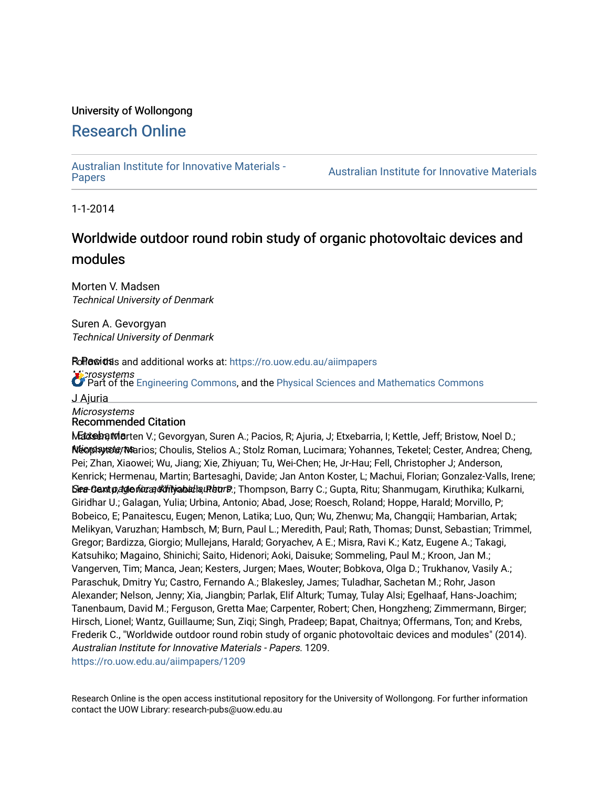# University of Wollongong

# Research Online

Australian Institute for Innovative Materials - Australian Institute for Innovative Materials - Australian Institute for Innovative Materials Papers

1-1-2014

# Worldwide outdoor round robin study of organic photovoltaic devices and modules

Morten V. Madsen Technical University of Denmark

Suren A. Gevorgyan Technical University of Denmark

#### **Rollexids** and additional works at: https://ro.uow.edu.au/aiimpapers

*it prosystems*<br>Of Part of the Engineering Commons, and the Physical Sciences and Mathematics Commons

J Ajuria

#### **Microsystems** Recommended Citation

Matasebanviarten V.; Gevorgyan, Suren A.; Pacios, R; Ajuria, J; Etxebarria, I; Kettle, Jeff; Bristow, Noel D.; Nëophyyste/Marios; Choulis, Stelios A.; Stolz Roman, Lucimara; Yohannes, Teketel; Cester, Andrea; Cheng, **Sea Cantpage nara Khiyabatla Retr P**.; Thompson, Barry C.; Gupta, Ritu; Shanmugam, Kiruthika; Kulkarni, Pei; Zhan, Xiaowei; Wu, Jiang; Xie, Zhiyuan; Tu, Wei-Chen; He, Jr-Hau; Fell, Christopher J; Anderson, Kenrick; Hermenau, Martin; Bartesaghi, Davide; Jan Anton Koster, L; Machui, Florian; Gonzalez-Valls, Irene; Giridhar U.; Galagan, Yulia; Urbina, Antonio; Abad, Jose; Roesch, Roland; Hoppe, Harald; Morvillo, P; Bobeico, E; Panaitescu, Eugen; Menon, Latika; Luo, Qun; Wu, Zhenwu; Ma, Changqii; Hambarian, Artak; Melikyan, Varuzhan; Hambsch, M; Burn, Paul L.; Meredith, Paul; Rath, Thomas; Dunst, Sebastian; Trimmel, Gregor; Bardizza, Giorgio; Mullejans, Harald; Goryachev, A E.; Misra, Ravi K.; Katz, Eugene A.; Takagi, Katsuhiko; Magaino, Shinichi; Saito, Hidenori; Aoki, Daisuke; Sommeling, Paul M.; Kroon, Jan M.; Vangerven, Tim; Manca, Jean; Kesters, Jurgen; Maes, Wouter; Bobkova, Olga D.; Trukhanov, Vasily A.; Paraschuk, Dmitry Yu; Castro, Fernando A.; Blakesley, James; Tuladhar, Sachetan M.; Rohr, Jason Alexander; Nelson, Jenny; Xia, Jiangbin; Parlak, Elif Alturk; Tumay, Tulay Alsi; Egelhaaf, Hans-Joachim; Tanenbaum, David M.; Ferguson, Gretta Mae; Carpenter, Robert; Chen, Hongzheng; Zimmermann, Birger; Hirsch, Lionel; Wantz, Guillaume; Sun, Ziqi; Singh, Pradeep; Bapat, Chaitnya; Offermans, Ton; and Krebs, Frederik C., "Worldwide outdoor round robin study of organic photovoltaic devices and modules" (2014). Australian Institute for Innovative Materials - Papers. 1209.

https://ro.uow.edu.au/aiimpapers/1209

Research Online is the open access institutional repository for the University of Wollongong. For further information contact the UOW Library: research-pubs@uow.edu.au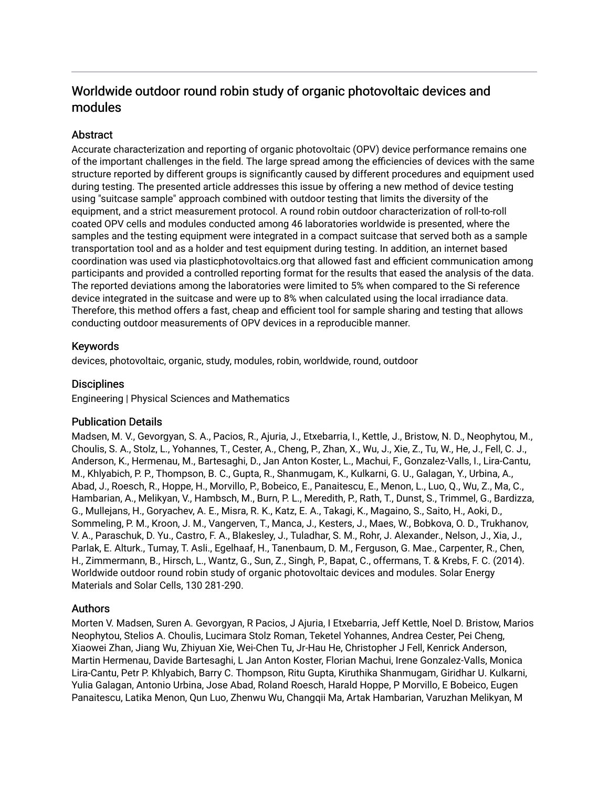# Worldwide outdoor round robin study of organic photovoltaic devices and modules

# Abstract

Accurate characterization and reporting of organic photovoltaic (OPV) device performance remains one of the important challenges in the field. The large spread among the efficiencies of devices with the same structure reported by different groups is significantly caused by different procedures and equipment used during testing. The presented article addresses this issue by offering a new method of device testing using "suitcase sample" approach combined with outdoor testing that limits the diversity of the equipment, and a strict measurement protocol. A round robin outdoor characterization of roll-to-roll coated OPV cells and modules conducted among 46 laboratories worldwide is presented, where the samples and the testing equipment were integrated in a compact suitcase that served both as a sample transportation tool and as a holder and test equipment during testing. In addition, an internet based coordination was used via plasticphotovoltaics.org that allowed fast and efficient communication among participants and provided a controlled reporting format for the results that eased the analysis of the data. The reported deviations among the laboratories were limited to 5% when compared to the Si reference device integrated in the suitcase and were up to 8% when calculated using the local irradiance data. Therefore, this method offers a fast, cheap and efficient tool for sample sharing and testing that allows conducting outdoor measurements of OPV devices in a reproducible manner.

### Keywords

devices, photovoltaic, organic, study, modules, robin, worldwide, round, outdoor

#### **Disciplines**

Engineering | Physical Sciences and Mathematics

### Publication Details

Madsen, M. V., Gevorgyan, S. A., Pacios, R., Ajuria, J., Etxebarria, I., Kettle, J., Bristow, N. D., Neophytou, M., Choulis, S. A., Stolz, L., Yohannes, T., Cester, A., Cheng, P., Zhan, X., Wu, J., Xie, Z., Tu, W., He, J., Fell, C. J., Anderson, K., Hermenau, M., Bartesaghi, D., Jan Anton Koster, L., Machui, F., Gonzalez-Valls, I., Lira-Cantu, M., Khlyabich, P. P., Thompson, B. C., Gupta, R., Shanmugam, K., Kulkarni, G. U., Galagan, Y., Urbina, A., Abad, J., Roesch, R., Hoppe, H., Morvillo, P., Bobeico, E., Panaitescu, E., Menon, L., Luo, Q., Wu, Z., Ma, C., Hambarian, A., Melikyan, V., Hambsch, M., Burn, P. L., Meredith, P., Rath, T., Dunst, S., Trimmel, G., Bardizza, G., Mullejans, H., Goryachev, A. E., Misra, R. K., Katz, E. A., Takagi, K., Magaino, S., Saito, H., Aoki, D., Sommeling, P. M., Kroon, J. M., Vangerven, T., Manca, J., Kesters, J., Maes, W., Bobkova, O. D., Trukhanov, V. A., Paraschuk, D. Yu., Castro, F. A., Blakesley, J., Tuladhar, S. M., Rohr, J. Alexander., Nelson, J., Xia, J., Parlak, E. Alturk., Tumay, T. Asli., Egelhaaf, H., Tanenbaum, D. M., Ferguson, G. Mae., Carpenter, R., Chen, H., Zimmermann, B., Hirsch, L., Wantz, G., Sun, Z., Singh, P., Bapat, C., offermans, T. & Krebs, F. C. (2014). Worldwide outdoor round robin study of organic photovoltaic devices and modules. Solar Energy Materials and Solar Cells, 130 281-290.

### Authors

Morten V. Madsen, Suren A. Gevorgyan, R Pacios, J Ajuria, I Etxebarria, Jeff Kettle, Noel D. Bristow, Marios Neophytou, Stelios A. Choulis, Lucimara Stolz Roman, Teketel Yohannes, Andrea Cester, Pei Cheng, Xiaowei Zhan, Jiang Wu, Zhiyuan Xie, Wei-Chen Tu, Jr-Hau He, Christopher J Fell, Kenrick Anderson, Martin Hermenau, Davide Bartesaghi, L Jan Anton Koster, Florian Machui, Irene Gonzalez-Valls, Monica Lira-Cantu, Petr P. Khlyabich, Barry C. Thompson, Ritu Gupta, Kiruthika Shanmugam, Giridhar U. Kulkarni, Yulia Galagan, Antonio Urbina, Jose Abad, Roland Roesch, Harald Hoppe, P Morvillo, E Bobeico, Eugen Panaitescu, Latika Menon, Qun Luo, Zhenwu Wu, Changqii Ma, Artak Hambarian, Varuzhan Melikyan, M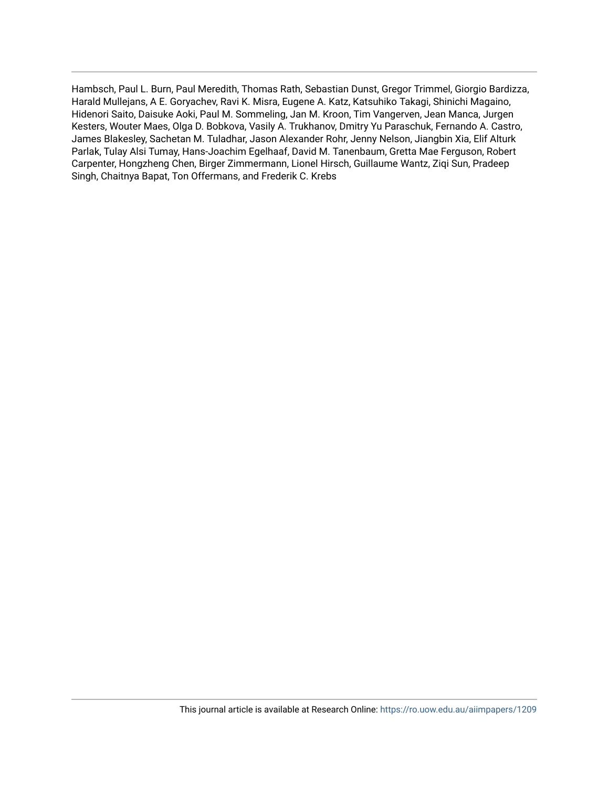Hambsch, Paul L. Burn, Paul Meredith, Thomas Rath, Sebastian Dunst, Gregor Trimmel, Giorgio Bardizza, Harald Mullejans, A E. Goryachev, Ravi K. Misra, Eugene A. Katz, Katsuhiko Takagi, Shinichi Magaino, Hidenori Saito, Daisuke Aoki, Paul M. Sommeling, Jan M. Kroon, Tim Vangerven, Jean Manca, Jurgen Kesters, Wouter Maes, Olga D. Bobkova, Vasily A. Trukhanov, Dmitry Yu Paraschuk, Fernando A. Castro, James Blakesley, Sachetan M. Tuladhar, Jason Alexander Rohr, Jenny Nelson, Jiangbin Xia, Elif Alturk Parlak, Tulay Alsi Tumay, Hans-Joachim Egelhaaf, David M. Tanenbaum, Gretta Mae Ferguson, Robert Carpenter, Hongzheng Chen, Birger Zimmermann, Lionel Hirsch, Guillaume Wantz, Ziqi Sun, Pradeep Singh, Chaitnya Bapat, Ton Offermans, and Frederik C. Krebs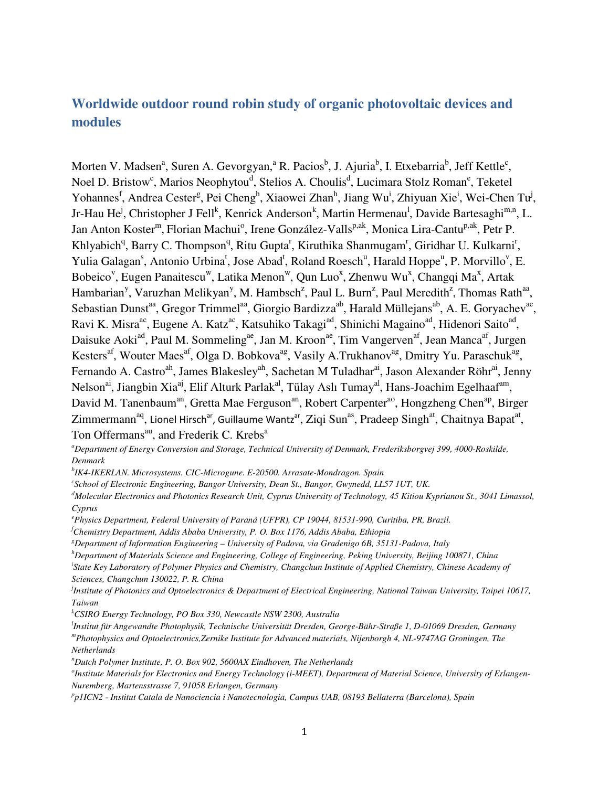# **Worldwide outdoor round robin study of organic photovoltaic devices and modules**

Morten V. Madsen<sup>a</sup>, Suren A. Gevorgyan,<sup>a</sup> R. Pacios<sup>b</sup>, J. Ajuria<sup>b</sup>, I. Etxebarria<sup>b</sup>, Jeff Kettle<sup>c</sup>, Noel D. Bristow<sup>c</sup>, Marios Neophytou<sup>d</sup>, Stelios A. Choulis<sup>d</sup>, Lucimara Stolz Roman<sup>e</sup>, Teketel Yohannes<sup>f</sup>, Andrea Cester<sup>g</sup>, Pei Cheng<sup>h</sup>, Xiaowei Zhan<sup>h</sup>, Jiang Wu<sup>i</sup>, Zhiyuan Xie<sup>i</sup>, Wei-Chen Tu<sup>j</sup>, Jr-Hau He<sup>j</sup>, Christopher J Fell<sup>k</sup>, Kenrick Anderson<sup>k</sup>, Martin Hermenau<sup>l</sup>, Davide Bartesaghi<sup>m,n</sup>, L. Jan Anton Koster<sup>m</sup>, Florian Machui<sup>o</sup>, Irene González-Valls<sup>p,ak</sup>, Monica Lira-Cantu<sup>p,ak</sup>, Petr P. Khlyabich<sup>q</sup>, Barry C. Thompson<sup>q</sup>, Ritu Gupta<sup>r</sup>, Kiruthika Shanmugam<sup>r</sup>, Giridhar U. Kulkarni<sup>r</sup>, Yulia Galagan<sup>s</sup>, Antonio Urbina<sup>t</sup>, Jose Abad<sup>t</sup>, Roland Roesch<sup>u</sup>, Harald Hoppe<sup>u</sup>, P. Morvillo<sup>v</sup>, E. Bobeico<sup>v</sup>, Eugen Panaitescu<sup>w</sup>, Latika Menon<sup>w</sup>, Qun Luo<sup>x</sup>, Zhenwu Wu<sup>x</sup>, Changqi Ma<sup>x</sup>, Artak Hambarian<sup>y</sup>, Varuzhan Melikyan<sup>y</sup>, M. Hambsch<sup>z</sup>, Paul L. Burn<sup>z</sup>, Paul Meredith<sup>z</sup>, Thomas Rath<sup>aa</sup>, Sebastian Dunst<sup>aa</sup>, Gregor Trimmel<sup>aa</sup>, Giorgio Bardizza<sup>ab</sup>, Harald Müllejans<sup>ab</sup>, A. E. Goryachev<sup>ac</sup>, Ravi K. Misra<sup>ac</sup>, Eugene A. Katz<sup>ac</sup>, Katsuhiko Takagi<sup>ad</sup>, Shinichi Magaino<sup>ad</sup>, Hidenori Saito<sup>ad</sup>, Daisuke Aoki<sup>ad</sup>, Paul M. Sommeling<sup>ae</sup>, Jan M. Kroon<sup>ae</sup>, Tim Vangerven<sup>af</sup>, Jean Manca<sup>af</sup>, Jurgen Kesters<sup>af</sup>, Wouter Maes<sup>af</sup>, Olga D. Bobkova<sup>ag</sup>, Vasily A.Trukhanov<sup>ag</sup>, Dmitry Yu. Paraschuk<sup>ag</sup>, Fernando A. Castro<sup>ah</sup>, James Blakesley<sup>ah</sup>, Sachetan M Tuladhar<sup>ai</sup>, Jason Alexander Röhr<sup>ai</sup>, Jenny Nelson<sup>ai</sup>, Jiangbin Xia<sup>aj</sup>, Elif Alturk Parlak<sup>al</sup>, Tülay Aslı Tumay<sup>al</sup>, Hans-Joachim Egelhaaf<sup>am</sup>, David M. Tanenbaum<sup>an</sup>, Gretta Mae Ferguson<sup>an</sup>, Robert Carpenter<sup>ao</sup>, Hongzheng Chen<sup>ap</sup>, Birger  $\rm{Zimmermann}^{aq}$ , Lionel Hirsch $\rm{^{ar}}$ , Guillaume Wantz $\rm{^{ar}}$ ,  $\rm{Ziq}$ i  $\rm{Sun}^{\rm{as}},$   $\rm{Prad}$ eep  $\rm{Sing}$ h $\rm{^{at}},$   $\rm{Chaitnya}$   $\rm{Bapat}^{\rm{at}},$ Ton Offermans<sup>au</sup>, and Frederik C. Krebs<sup>a</sup>

*<sup>a</sup>Department of Energy Conversion and Storage, Technical University of Denmark, Frederiksborgvej 399, 4000-Roskilde, Denmark*

*b IK4-IKERLAN. Microsystems. CIC-Microgune. E-20500. Arrasate-Mondragon. Spain*

*c School of Electronic Engineering, Bangor University, Dean St., Bangor, Gwynedd, LL57 1UT, UK.*

*<sup>d</sup>Molecular Electronics and Photonics Research Unit, Cyprus University of Technology, 45 Kitiou Kyprianou St., 3041 Limassol, Cyprus*

*<sup>e</sup>Physics Department, Federal University of Paraná (UFPR), CP 19044, 81531-990, Curitiba, PR, Brazil.*

*<sup>f</sup>Chemistry Department, Addis Ababa University, P. O. Box 1176, Addis Ababa, Ethiopia*

*<sup>g</sup>Department of Information Engineering – University of Padova, via Gradenigo 6B, 35131-Padova, Italy*

*<sup>h</sup>Department of Materials Science and Engineering, College of Engineering, Peking University, Beijing 100871, China*

*i*State Key Laboratory of Polymer Physics and Chemistry, Changchun Institute of Applied Chemistry, Chinese Academy of *Sciences, Changchun 130022, P. R. China*

*j Institute of Photonics and Optoelectronics & Department of Electrical Engineering, National Taiwan University, Taipei 10617, Taiwan*

*<sup>k</sup>CSIRO Energy Technology, PO Box 330, Newcastle NSW 2300, Australia*

*l Institut für Angewandte Photophysik, Technische Universität Dresden, George-Bähr-Straße 1, D-01069 Dresden, Germany <sup>m</sup>Photophysics and Optoelectronics,Zernike Institute for Advanced materials, Nijenborgh 4, NL-9747AG Groningen, The Netherlands*

*<sup>n</sup>Dutch Polymer Institute, P. O. Box 902, 5600AX Eindhoven, The Netherlands*

*o Institute Materials for Electronics and Energy Technology (i-MEET), Department of Material Science, University of Erlangen-Nuremberg, Martensstrasse 7, 91058 Erlangen, Germany*

*p p1ICN2 - Institut Catala de Nanociencia i Nanotecnologia, Campus UAB, 08193 Bellaterra (Barcelona), Spain*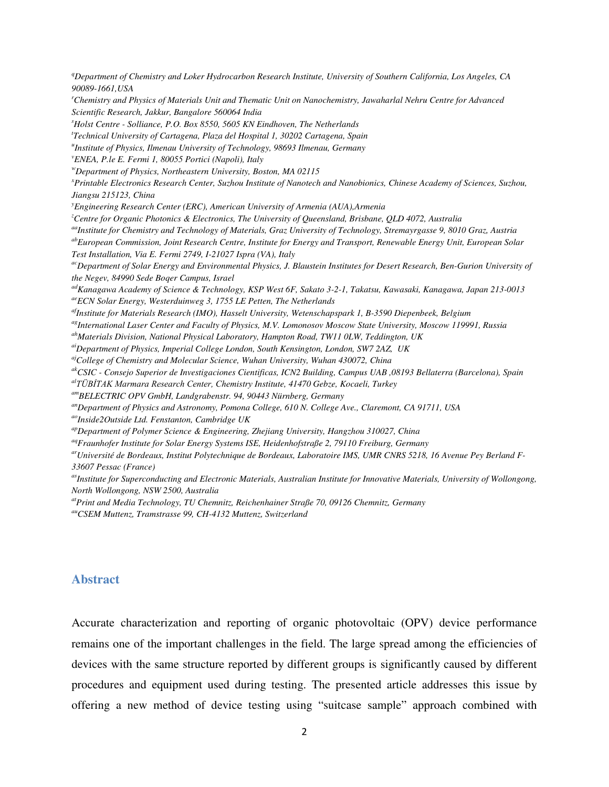*<sup>q</sup>Department of Chemistry and Loker Hydrocarbon Research Institute, University of Southern California, Los Angeles, CA 90089-1661,USA <sup>r</sup>Chemistry and Physics of Materials Unit and Thematic Unit on Nanochemistry, Jawaharlal Nehru Centre for Advanced Scientific Research, Jakkur, Bangalore 560064 India <sup>s</sup>Holst Centre - Solliance, P.O. Box 8550, 5605 KN Eindhoven, The Netherlands t Technical University of Cartagena, Plaza del Hospital 1, 30202 Cartagena, Spain u Institute of Physics, Ilmenau University of Technology, 98693 Ilmenau, Germany <sup>v</sup>ENEA, P.le E. Fermi 1, 80055 Portici (Napoli), Italy <sup>w</sup>Department of Physics, Northeastern University, Boston, MA 02115 <sup>x</sup>Printable Electronics Research Center, Suzhou Institute of Nanotech and Nanobionics, Chinese Academy of Sciences, Suzhou, Jiangsu 215123, China <sup>y</sup>Engineering Research Center (ERC), American University of Armenia (AUA),Armenia <sup>z</sup>Centre for Organic Photonics & Electronics, The University of Queensland, Brisbane, QLD 4072, Australia aaInstitute for Chemistry and Technology of Materials, Graz University of Technology, Stremayrgasse 9, 8010 Graz, Austria abEuropean Commission, Joint Research Centre, Institute for Energy and Transport, Renewable Energy Unit, European Solar Test Installation, Via E. Fermi 2749, I-21027 Ispra (VA), Italy acDepartment of Solar Energy and Environmental Physics, J. Blaustein Institutes for Desert Research, Ben-Gurion University of the Negev, 84990 Sede Boqer Campus, Israel adKanagawa Academy of Science & Technology, KSP West 6F, Sakato 3-2-1, Takatsu, Kawasaki, Kanagawa, Japan 213-0013 aeECN Solar Energy, Westerduinweg 3, 1755 LE Petten, The Netherlands afInstitute for Materials Research (IMO), Hasselt University, Wetenschapspark 1, B-3590 Diepenbeek, Belgium agInternational Laser Center and Faculty of Physics, M.V. Lomonosov Moscow State University, Moscow 119991, Russia ahMaterials Division, National Physical Laboratory, Hampton Road, TW11 0LW, Teddington, UK aiDepartment of Physics, Imperial College London, South Kensington, London, SW7 2AZ, UK ajCollege of Chemistry and Molecular Science, Wuhan University, Wuhan 430072, China akCSIC - Consejo Superior de Investigaciones Cientificas, ICN2 Building, Campus UAB ,08193 Bellaterra (Barcelona), Spain alTÜBİTAK Marmara Research Center, Chemistry Institute, 41470 Gebze, Kocaeli, Turkey amBELECTRIC OPV GmbH, Landgrabenstr. 94, 90443 Nürnberg, Germany anDepartment of Physics and Astronomy, Pomona College, 610 N. College Ave., Claremont, CA 91711, USA aoInside2Outside Ltd. Fenstanton, Cambridge UK apDepartment of Polymer Science & Engineering, Zhejiang University, Hangzhou 310027, China aqFraunhofer Institute for Solar Energy Systems ISE, Heidenhofstraße 2, 79110 Freiburg, Germany arUniversité de Bordeaux, Institut Polytechnique de Bordeaux, Laboratoire IMS, UMR CNRS 5218, 16 Avenue Pey Berland F-33607 Pessac (France) asInstitute for Superconducting and Electronic Materials, Australian Institute for Innovative Materials, University of Wollongong, North Wollongong, NSW 2500, Australia atPrint and Media Technology, TU Chemnitz, Reichenhainer Straße 70, 09126 Chemnitz, Germany auCSEM Muttenz, Tramstrasse 99, CH-4132 Muttenz, Switzerland*

#### **Abstract**

Accurate characterization and reporting of organic photovoltaic (OPV) device performance remains one of the important challenges in the field. The large spread among the efficiencies of devices with the same structure reported by different groups is significantly caused by different procedures and equipment used during testing. The presented article addresses this issue by offering a new method of device testing using "suitcase sample" approach combined with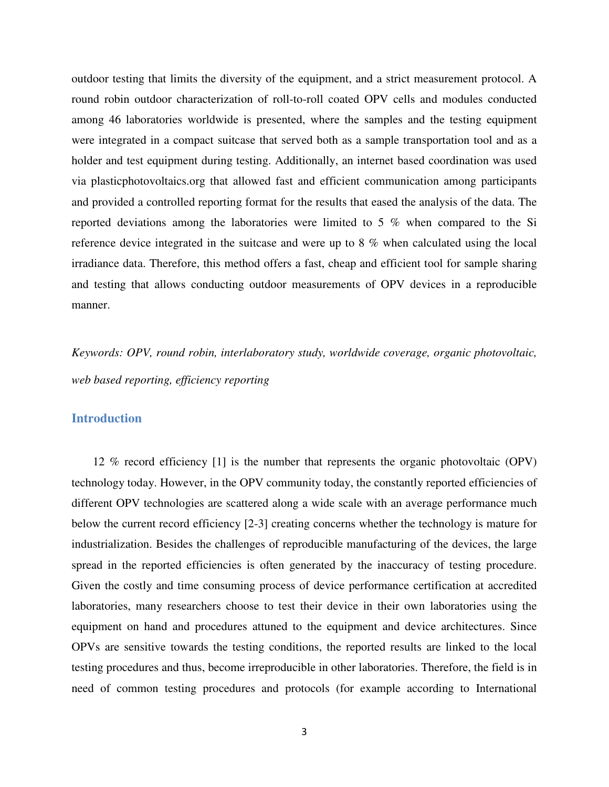outdoor testing that limits the diversity of the equipment, and a strict measurement protocol. A round robin outdoor characterization of roll-to-roll coated OPV cells and modules conducted among 46 laboratories worldwide is presented, where the samples and the testing equipment were integrated in a compact suitcase that served both as a sample transportation tool and as a holder and test equipment during testing. Additionally, an internet based coordination was used via plasticphotovoltaics.org that allowed fast and efficient communication among participants and provided a controlled reporting format for the results that eased the analysis of the data. The reported deviations among the laboratories were limited to 5 % when compared to the Si reference device integrated in the suitcase and were up to 8 % when calculated using the local irradiance data. Therefore, this method offers a fast, cheap and efficient tool for sample sharing and testing that allows conducting outdoor measurements of OPV devices in a reproducible manner.

*Keywords: OPV, round robin, interlaboratory study, worldwide coverage, organic photovoltaic, web based reporting, efficiency reporting*

# **Introduction**

12 % record efficiency [1] is the number that represents the organic photovoltaic (OPV) technology today. However, in the OPV community today, the constantly reported efficiencies of different OPV technologies are scattered along a wide scale with an average performance much below the current record efficiency [2-3] creating concerns whether the technology is mature for industrialization. Besides the challenges of reproducible manufacturing of the devices, the large spread in the reported efficiencies is often generated by the inaccuracy of testing procedure. Given the costly and time consuming process of device performance certification at accredited laboratories, many researchers choose to test their device in their own laboratories using the equipment on hand and procedures attuned to the equipment and device architectures. Since OPVs are sensitive towards the testing conditions, the reported results are linked to the local testing procedures and thus, become irreproducible in other laboratories. Therefore, the field is in need of common testing procedures and protocols (for example according to International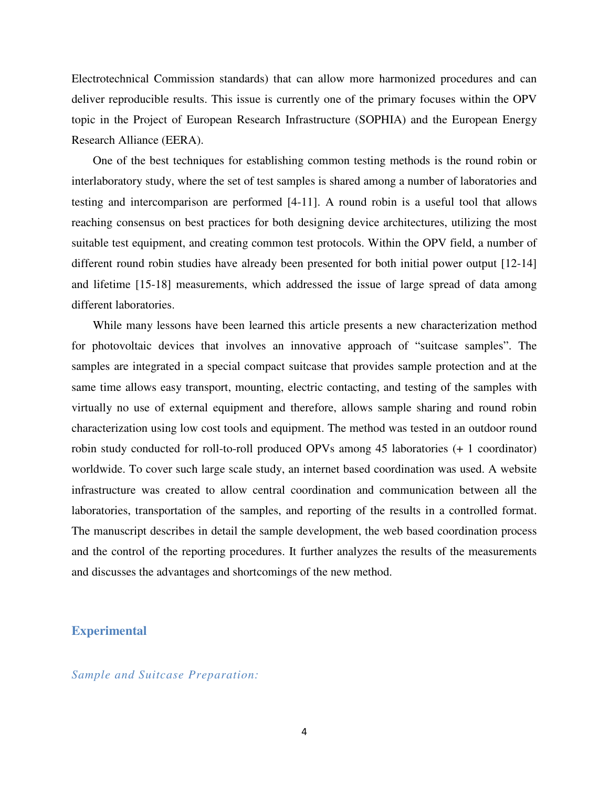Electrotechnical Commission standards) that can allow more harmonized procedures and can deliver reproducible results. This issue is currently one of the primary focuses within the OPV topic in the Project of European Research Infrastructure (SOPHIA) and the European Energy Research Alliance (EERA).

One of the best techniques for establishing common testing methods is the round robin or interlaboratory study, where the set of test samples is shared among a number of laboratories and testing and intercomparison are performed [4-11]. A round robin is a useful tool that allows reaching consensus on best practices for both designing device architectures, utilizing the most suitable test equipment, and creating common test protocols. Within the OPV field, a number of different round robin studies have already been presented for both initial power output [12-14] and lifetime [15-18] measurements, which addressed the issue of large spread of data among different laboratories.

While many lessons have been learned this article presents a new characterization method for photovoltaic devices that involves an innovative approach of "suitcase samples". The samples are integrated in a special compact suitcase that provides sample protection and at the same time allows easy transport, mounting, electric contacting, and testing of the samples with virtually no use of external equipment and therefore, allows sample sharing and round robin characterization using low cost tools and equipment. The method was tested in an outdoor round robin study conducted for roll-to-roll produced OPVs among 45 laboratories (+ 1 coordinator) worldwide. To cover such large scale study, an internet based coordination was used. A website infrastructure was created to allow central coordination and communication between all the laboratories, transportation of the samples, and reporting of the results in a controlled format. The manuscript describes in detail the sample development, the web based coordination process and the control of the reporting procedures. It further analyzes the results of the measurements and discusses the advantages and shortcomings of the new method.

# **Experimental**

*Sample and Suitcase Preparation:*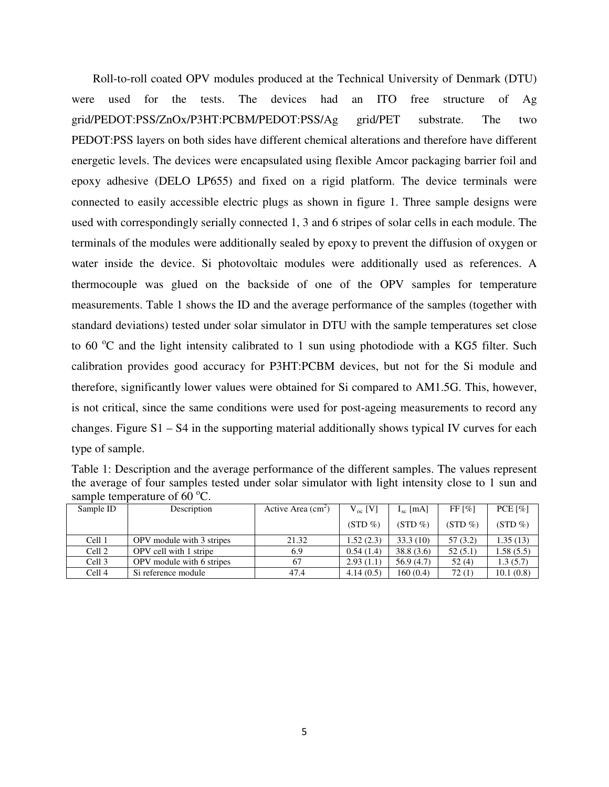Roll-to-roll coated OPV modules produced at the Technical University of Denmark (DTU) were used for the tests. The devices had an ITO free structure of Ag grid/PEDOT:PSS/ZnOx/P3HT:PCBM/PEDOT:PSS/Ag grid/PET substrate. The two PEDOT:PSS layers on both sides have different chemical alterations and therefore have different energetic levels. The devices were encapsulated using flexible Amcor packaging barrier foil and epoxy adhesive (DELO LP655) and fixed on a rigid platform. The device terminals were connected to easily accessible electric plugs as shown in figure 1. Three sample designs were used with correspondingly serially connected 1, 3 and 6 stripes of solar cells in each module. The terminals of the modules were additionally sealed by epoxy to prevent the diffusion of oxygen or water inside the device. Si photovoltaic modules were additionally used as references. A thermocouple was glued on the backside of one of the OPV samples for temperature measurements. Table 1 shows the ID and the average performance of the samples (together with standard deviations) tested under solar simulator in DTU with the sample temperatures set close to 60  $\degree$ C and the light intensity calibrated to 1 sun using photodiode with a KG5 filter. Such calibration provides good accuracy for P3HT:PCBM devices, but not for the Si module and therefore, significantly lower values were obtained for Si compared to AM1.5G. This, however, is not critical, since the same conditions were used for post-ageing measurements to record any changes. Figure  $S1 - S4$  in the supporting material additionally shows typical IV curves for each type of sample.

Table 1: Description and the average performance of the different samples. The values represent the average of four samples tested under solar simulator with light intensity close to 1 sun and sample temperature of 60 $\degree$ C.

| Sample ID | Description               | Active Area $(cm2)$ | $V_{oc}$ [V] | $I_{sc}$ [mA] | FF [%]     | PCE $[%]$  |
|-----------|---------------------------|---------------------|--------------|---------------|------------|------------|
|           |                           |                     | $(STD\% )$   | $(STD\% )$    | $(STD\% )$ | $(STD\% )$ |
| Cell 1    | OPV module with 3 stripes | 21.32               | 1.52(2.3)    | 33.3(10)      | 57(3.2)    | 1.35 (13)  |
| Cell 2    | OPV cell with 1 stripe    | 6.9                 | 0.54(1.4)    | 38.8(3.6)     | 52(5.1)    | 1.58 (5.5) |
| Cell 3    | OPV module with 6 stripes | 67                  | 2.93(1.1)    | 56.9(4.7)     | 52(4)      | 1.3(5.7)   |
| Cell 4    | Si reference module       | 47.4                | 4.14(0.5)    | 160(0.4)      | 72(1)      | 10.1(0.8)  |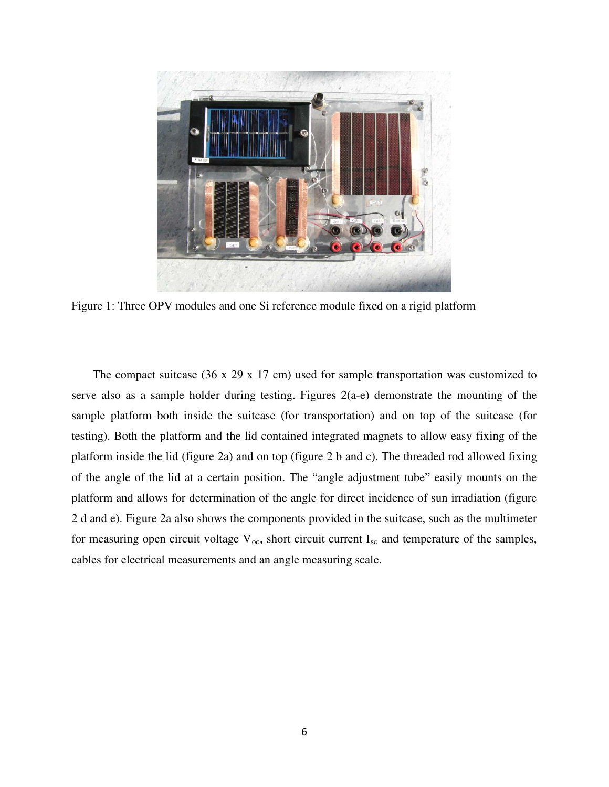

Figure 1: Three OPV modules and one Si reference module fixed on a rigid platform

The compact suitcase (36 x 29 x 17 cm) used for sample transportation was customized to serve also as a sample holder during testing. Figures 2(a-e) demonstrate the mounting of the sample platform both inside the suitcase (for transportation) and on top of the suitcase (for testing). Both the platform and the lid contained integrated magnets to allow easy fixing of the platform inside the lid (figure 2a) and on top (figure 2 b and c). The threaded rod allowed fixing of the angle of the lid at a certain position. The "angle adjustment tube" easily mounts on the platform and allows for determination of the angle for direct incidence of sun irradiation (figure 2 d and e). Figure 2a also shows the components provided in the suitcase, such as the multimeter for measuring open circuit voltage  $V_{oc}$ , short circuit current  $I_{sc}$  and temperature of the samples, cables for electrical measurements and an angle measuring scale.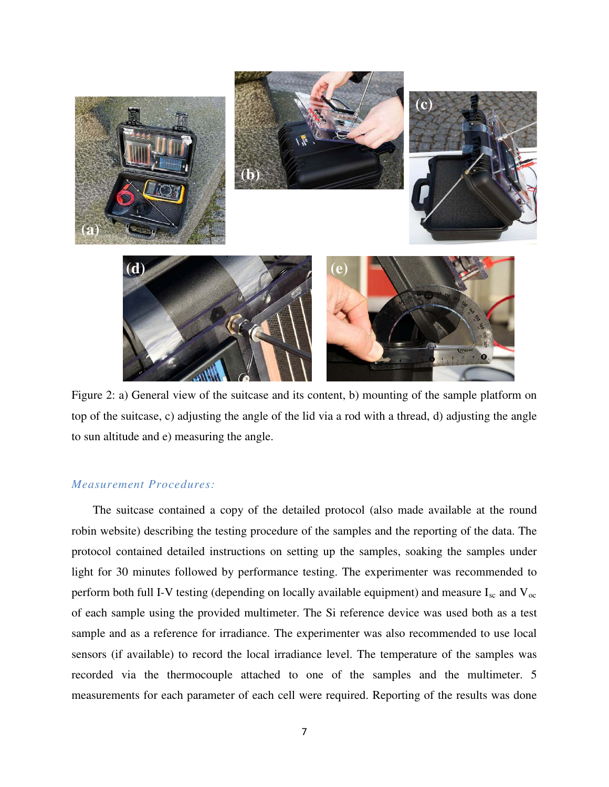

Figure 2: a) General view of the suitcase and its content, b) mounting of the sample platform on top of the suitcase, c) adjusting the angle of the lid via a rod with a thread, d) adjusting the angle to sun altitude and e) measuring the angle.

#### *Measurement Procedures:*

The suitcase contained a copy of the detailed protocol (also made available at the round robin website) describing the testing procedure of the samples and the reporting of the data. The protocol contained detailed instructions on setting up the samples, soaking the samples under light for 30 minutes followed by performance testing. The experimenter was recommended to perform both full I-V testing (depending on locally available equipment) and measure  $I_{sc}$  and  $V_{oc}$ of each sample using the provided multimeter. The Si reference device was used both as a test sample and as a reference for irradiance. The experimenter was also recommended to use local sensors (if available) to record the local irradiance level. The temperature of the samples was recorded via the thermocouple attached to one of the samples and the multimeter. 5 measurements for each parameter of each cell were required. Reporting of the results was done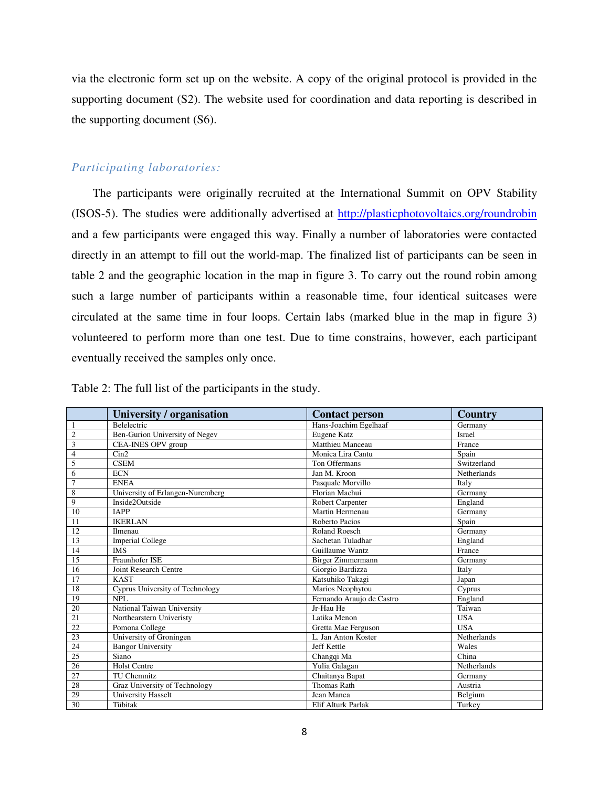via the electronic form set up on the website. A copy of the original protocol is provided in the supporting document (S2). The website used for coordination and data reporting is described in the supporting document (S6).

#### *Participating laboratories:*

The participants were originally recruited at the International Summit on OPV Stability (ISOS-5). The studies were additionally advertised at http://plasticphotovoltaics.org/roundrobin and a few participants were engaged this way. Finally a number of laboratories were contacted directly in an attempt to fill out the world-map. The finalized list of participants can be seen in table 2 and the geographic location in the map in figure 3. To carry out the round robin among such a large number of participants within a reasonable time, four identical suitcases were circulated at the same time in four loops. Certain labs (marked blue in the map in figure 3) volunteered to perform more than one test. Due to time constrains, however, each participant eventually received the samples only once.

|                         | University / organisation        | <b>Contact person</b>     | <b>Country</b> |
|-------------------------|----------------------------------|---------------------------|----------------|
| $\mathbf{1}$            | <b>Belelectric</b>               | Hans-Joachim Egelhaaf     | Germany        |
| $\overline{2}$          | Ben-Gurion University of Negev   | Eugene Katz               | Israel         |
| $\mathfrak z$           | CEA-INES OPV group               | Matthieu Manceau          | France         |
| $\overline{\mathbf{4}}$ | Cin2                             | Monica Lira Cantu         | Spain          |
| 5                       | <b>CSEM</b>                      | Ton Offermans             | Switzerland    |
| 6                       | <b>ECN</b>                       | Jan M. Kroon              | Netherlands    |
| 7                       | <b>ENEA</b>                      | Pasquale Morvillo         | Italy          |
| 8                       | University of Erlangen-Nuremberg | Florian Machui            | Germany        |
| $\overline{9}$          | Inside2Outside                   | Robert Carpenter          | England        |
| 10                      | <b>IAPP</b>                      | Martin Hermenau           | Germany        |
| 11                      | <b>IKERLAN</b>                   | Roberto Pacios            | Spain          |
| 12                      | Ilmenau                          | <b>Roland Roesch</b>      | Germany        |
| 13                      | <b>Imperial College</b>          | Sachetan Tuladhar         | England        |
| 14                      | $\overline{\text{IMS}}$          | Guillaume Wantz           | France         |
| 15                      | Fraunhofer ISE                   | Birger Zimmermann         | Germany        |
| 16                      | Joint Research Centre            | Giorgio Bardizza          | Italy          |
| 17                      | <b>KAST</b>                      | Katsuhiko Takagi          | Japan          |
| 18                      | Cyprus University of Technology  | Marios Neophytou          | Cyprus         |
| 19                      | NPL                              | Fernando Araujo de Castro | England        |
| 20                      | National Taiwan University       | Jr-Hau He                 | Taiwan         |
| 21                      | Northearstern Univeristy         | Latika Menon              | <b>USA</b>     |
| 22                      | Pomona College                   | Gretta Mae Ferguson       | <b>USA</b>     |
| 23                      | University of Groningen          | L. Jan Anton Koster       | Netherlands    |
| 24                      | <b>Bangor University</b>         | Jeff Kettle               | Wales          |
| $\overline{25}$         | Siano                            | Changqi Ma                | China          |
| 26                      | <b>Holst Centre</b>              | Yulia Galagan             | Netherlands    |
| 27                      | TU Chemnitz                      | Chaitanya Bapat           | Germany        |
| 28                      | Graz University of Technology    | <b>Thomas Rath</b>        | Austria        |
| 29                      | University Hasselt               | Jean Manca                | Belgium        |
| 30                      | Tübitak                          | Elif Alturk Parlak        | Turkey         |

Table 2: The full list of the participants in the study.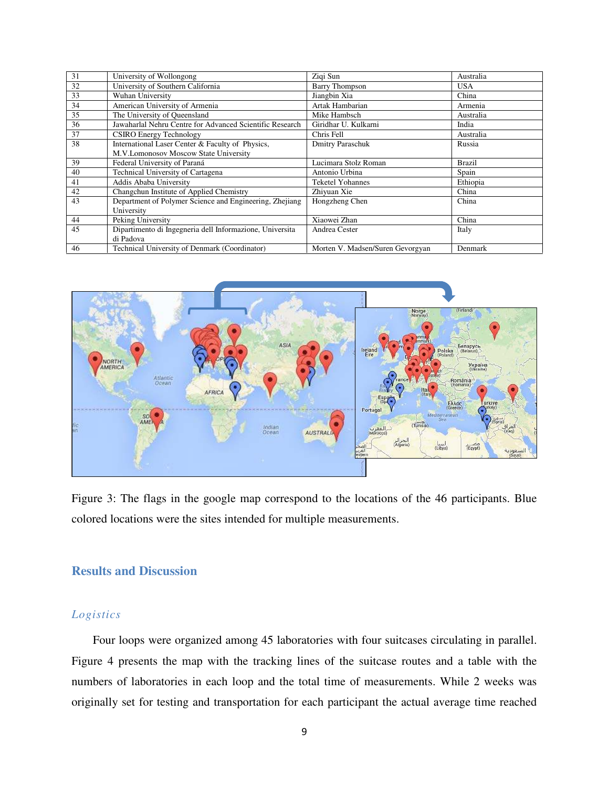| 31 | University of Wollongong                                 | Zigi Sun                         | Australia |
|----|----------------------------------------------------------|----------------------------------|-----------|
| 32 | University of Southern California                        | <b>Barry Thompson</b>            | USA.      |
| 33 | Wuhan University                                         | Jiangbin Xia                     | China     |
| 34 | American University of Armenia                           | Artak Hambarian                  | Armenia   |
| 35 | The University of Queensland                             | Mike Hambsch                     | Australia |
| 36 | Jawaharlal Nehru Centre for Advanced Scientific Research | Giridhar U. Kulkarni             | India     |
| 37 | <b>CSIRO Energy Technology</b>                           | Chris Fell                       | Australia |
| 38 | International Laser Center & Faculty of Physics,         | Dmitry Paraschuk                 | Russia    |
|    | M.V.Lomonosov Moscow State University                    |                                  |           |
| 39 | Federal University of Paraná                             | Lucimara Stolz Roman             | Brazil    |
| 40 | Technical University of Cartagena                        | Antonio Urbina                   | Spain     |
| 41 | Addis Ababa University                                   | <b>Teketel Yohannes</b>          | Ethiopia  |
| 42 | Changchun Institute of Applied Chemistry                 | Zhiyuan Xie                      | China     |
| 43 | Department of Polymer Science and Engineering, Zhejiang  | Hongzheng Chen                   | China     |
|    | University                                               |                                  |           |
| 44 | Peking University                                        | Xiaowei Zhan                     | China     |
| 45 | Dipartimento di Ingegneria dell Informazione, Universita | Andrea Cester                    | Italy     |
|    | di Padova                                                |                                  |           |
| 46 | Technical University of Denmark (Coordinator)            | Morten V. Madsen/Suren Gevorgyan | Denmark   |



Figure 3: The flags in the google map correspond to the locations of the 46 participants. Blue colored locations were the sites intended for multiple measurements.

# **Results and Discussion**

# *Logistics*

Four loops were organized among 45 laboratories with four suitcases circulating in parallel. Figure 4 presents the map with the tracking lines of the suitcase routes and a table with the numbers of laboratories in each loop and the total time of measurements. While 2 weeks was originally set for testing and transportation for each participant the actual average time reached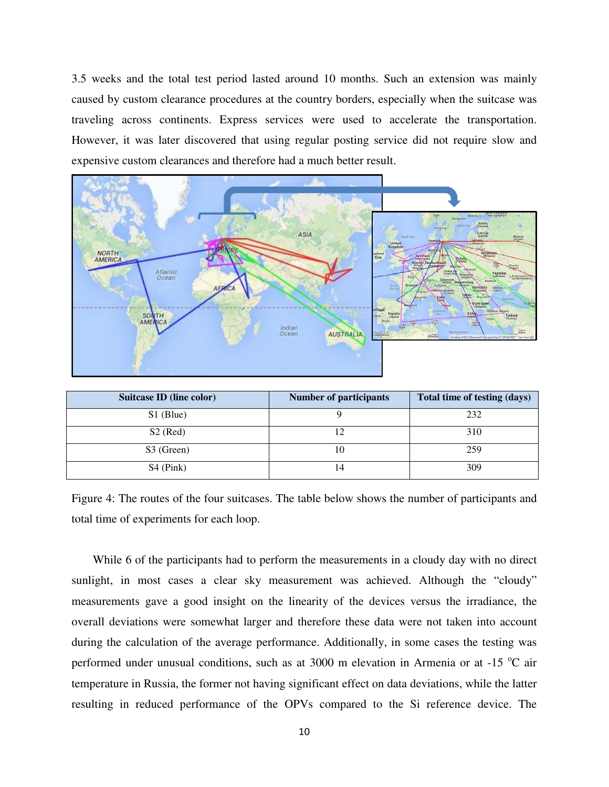3.5 weeks and the total test period lasted around 10 months. Such an extension was mainly caused by custom clearance procedures at the country borders, especially when the suitcase was traveling across continents. Express services were used to accelerate the transportation. However, it was later discovered that using regular posting service did not require slow and expensive custom clearances and therefore had a much better result.



| Suitcase ID (line color) | <b>Number of participants</b> | Total time of testing (days) |
|--------------------------|-------------------------------|------------------------------|
| $S1$ (Blue)              |                               | 232                          |
| $S2$ (Red)               |                               | 310                          |
| S3 (Green)               | 10                            | 259                          |
| S <sub>4</sub> (Pink)    |                               | 309                          |

Figure 4: The routes of the four suitcases. The table below shows the number of participants and total time of experiments for each loop.

While 6 of the participants had to perform the measurements in a cloudy day with no direct sunlight, in most cases a clear sky measurement was achieved. Although the "cloudy" measurements gave a good insight on the linearity of the devices versus the irradiance, the overall deviations were somewhat larger and therefore these data were not taken into account during the calculation of the average performance. Additionally, in some cases the testing was performed under unusual conditions, such as at 3000 m elevation in Armenia or at  $-15$  °C air temperature in Russia, the former not having significant effect on data deviations, while the latter resulting in reduced performance of the OPVs compared to the Si reference device. The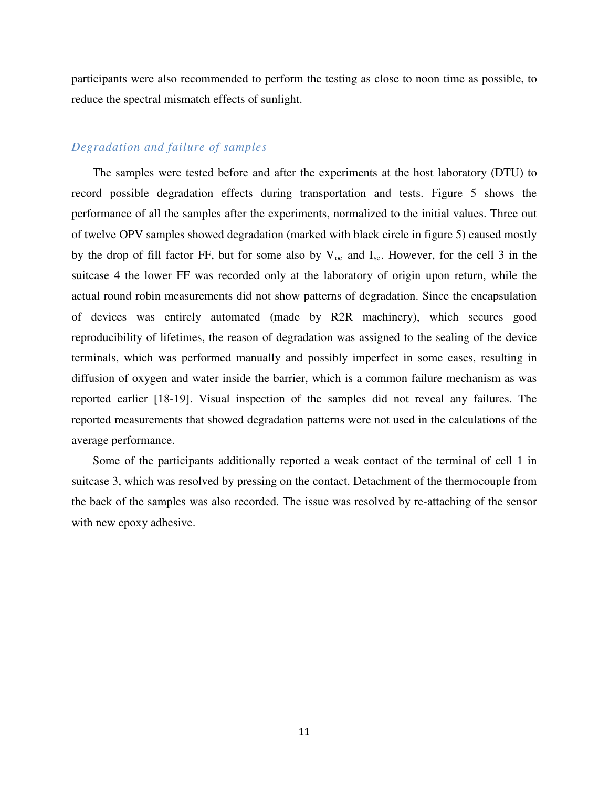participants were also recommended to perform the testing as close to noon time as possible, to reduce the spectral mismatch effects of sunlight.

#### *Degradation and failure of samples*

The samples were tested before and after the experiments at the host laboratory (DTU) to record possible degradation effects during transportation and tests. Figure 5 shows the performance of all the samples after the experiments, normalized to the initial values. Three out of twelve OPV samples showed degradation (marked with black circle in figure 5) caused mostly by the drop of fill factor FF, but for some also by  $V_{\text{oc}}$  and  $I_{\text{sc}}$ . However, for the cell 3 in the suitcase 4 the lower FF was recorded only at the laboratory of origin upon return, while the actual round robin measurements did not show patterns of degradation. Since the encapsulation of devices was entirely automated (made by R2R machinery), which secures good reproducibility of lifetimes, the reason of degradation was assigned to the sealing of the device terminals, which was performed manually and possibly imperfect in some cases, resulting in diffusion of oxygen and water inside the barrier, which is a common failure mechanism as was reported earlier [18-19]. Visual inspection of the samples did not reveal any failures. The reported measurements that showed degradation patterns were not used in the calculations of the average performance.

Some of the participants additionally reported a weak contact of the terminal of cell 1 in suitcase 3, which was resolved by pressing on the contact. Detachment of the thermocouple from the back of the samples was also recorded. The issue was resolved by re-attaching of the sensor with new epoxy adhesive.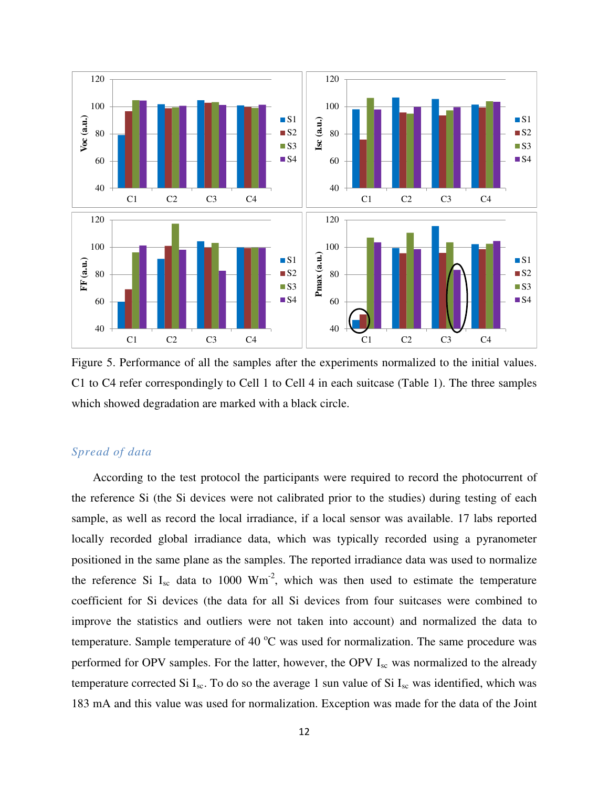

Figure 5. Performance of all the samples after the experiments normalized to the initial values. C1 to C4 refer correspondingly to Cell 1 to Cell 4 in each suitcase (Table 1). The three samples which showed degradation are marked with a black circle.

## *Spread of data*

According to the test protocol the participants were required to record the photocurrent of the reference Si (the Si devices were not calibrated prior to the studies) during testing of each sample, as well as record the local irradiance, if a local sensor was available. 17 labs reported locally recorded global irradiance data, which was typically recorded using a pyranometer positioned in the same plane as the samples. The reported irradiance data was used to normalize the reference Si  $I_{\rm sc}$  data to 1000  $\rm{Wm}^2$ , which was then used to estimate the temperature coefficient for Si devices (the data for all Si devices from four suitcases were combined to improve the statistics and outliers were not taken into account) and normalized the data to temperature. Sample temperature of 40  $^{\circ}$ C was used for normalization. The same procedure was performed for OPV samples. For the latter, however, the OPV  $I_{\rm sc}$  was normalized to the already temperature corrected Si  $I_{sc}$ . To do so the average 1 sun value of Si  $I_{sc}$  was identified, which was 183 mA and this value was used for normalization. Exception was made for the data of the Joint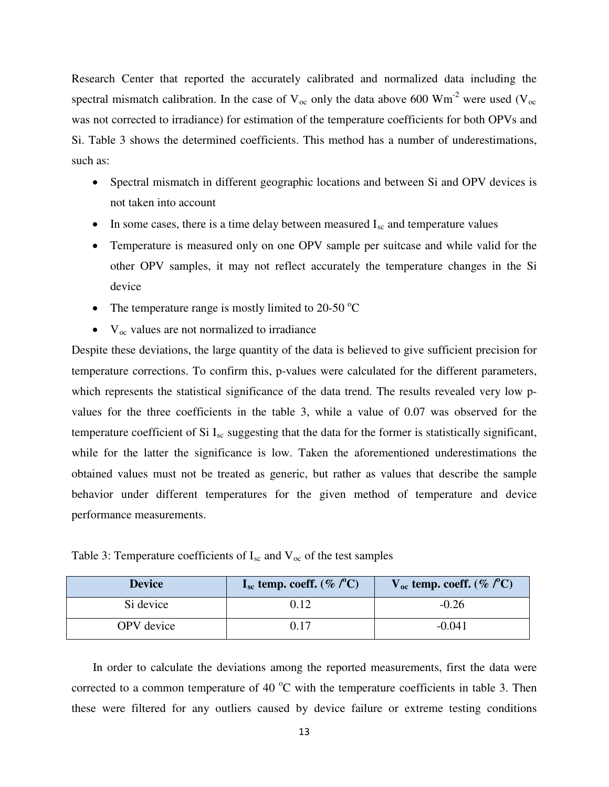Research Center that reported the accurately calibrated and normalized data including the spectral mismatch calibration. In the case of  $V_{\text{oc}}$  only the data above 600 Wm<sup>-2</sup> were used (V<sub>oc</sub> was not corrected to irradiance) for estimation of the temperature coefficients for both OPVs and Si. Table 3 shows the determined coefficients. This method has a number of underestimations, such as:

- Spectral mismatch in different geographic locations and between Si and OPV devices is not taken into account
- In some cases, there is a time delay between measured  $I_{\rm sc}$  and temperature values
- Temperature is measured only on one OPV sample per suitcase and while valid for the other OPV samples, it may not reflect accurately the temperature changes in the Si device
- The temperature range is mostly limited to  $20-50$  °C
- $\bullet$  V<sub>oc</sub> values are not normalized to irradiance

Despite these deviations, the large quantity of the data is believed to give sufficient precision for temperature corrections. To confirm this, p-values were calculated for the different parameters, which represents the statistical significance of the data trend. The results revealed very low pvalues for the three coefficients in the table 3, while a value of 0.07 was observed for the temperature coefficient of  $Si I_{sc}$  suggesting that the data for the former is statistically significant, while for the latter the significance is low. Taken the aforementioned underestimations the obtained values must not be treated as generic, but rather as values that describe the sample behavior under different temperatures for the given method of temperature and device performance measurements.

| <b>Device</b> | $I_{sc}$ temp. coeff. $(\%$ /°C) | $V_{oc}$ temp. coeff. $(\%$ /°C) |
|---------------|----------------------------------|----------------------------------|
| Si device     | 0.12                             | $-0.26$                          |
| OPV device    | 0.17                             | $-0.041$                         |

Table 3: Temperature coefficients of  $I_{\rm sc}$  and  $V_{\rm oc}$  of the test samples

In order to calculate the deviations among the reported measurements, first the data were corrected to a common temperature of 40  $^{\circ}$ C with the temperature coefficients in table 3. Then these were filtered for any outliers caused by device failure or extreme testing conditions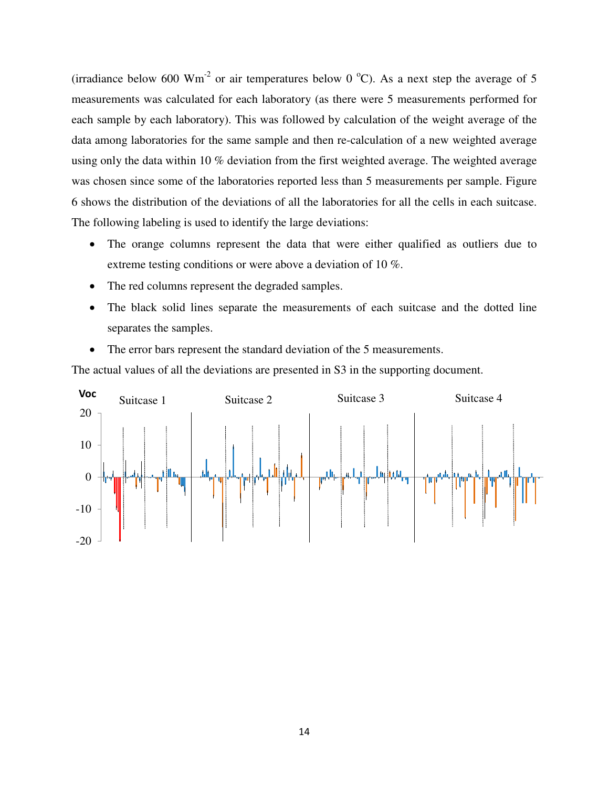(irradiance below 600  $\text{Wm}^2$  or air temperatures below 0 °C). As a next step the average of 5 measurements was calculated for each laboratory (as there were 5 measurements performed for each sample by each laboratory). This was followed by calculation of the weight average of the data among laboratories for the same sample and then re-calculation of a new weighted average using only the data within 10 % deviation from the first weighted average. The weighted average was chosen since some of the laboratories reported less than 5 measurements per sample. Figure 6 shows the distribution of the deviations of all the laboratories for all the cells in each suitcase. The following labeling is used to identify the large deviations:

- The orange columns represent the data that were either qualified as outliers due to extreme testing conditions or were above a deviation of 10 %.
- The red columns represent the degraded samples.
- The black solid lines separate the measurements of each suitcase and the dotted line separates the samples.
- The error bars represent the standard deviation of the 5 measurements.

The actual values of all the deviations are presented in S3 in the supporting document.

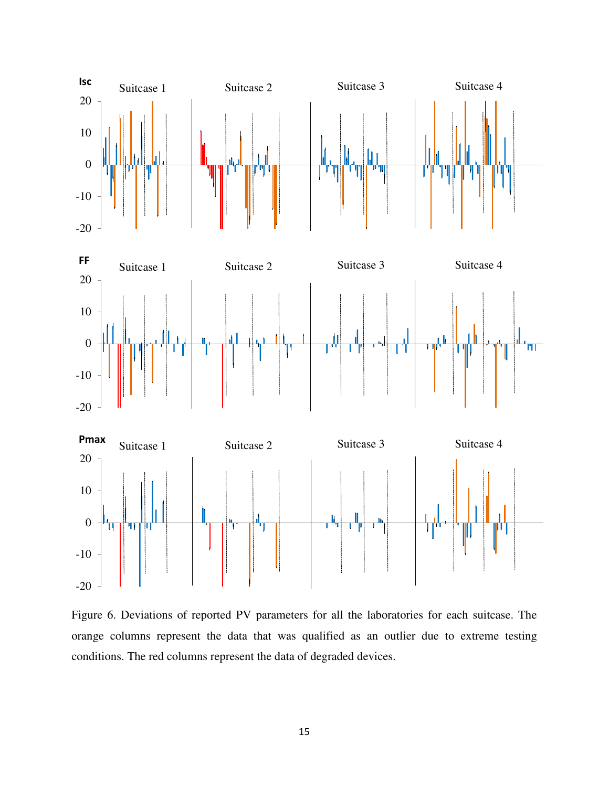

Figure 6. Deviations of reported PV parameters for all the laboratories for each suitcase. The orange columns represent the data that was qualified as an outlier due to extreme testing conditions. The red columns represent the data of degraded devices.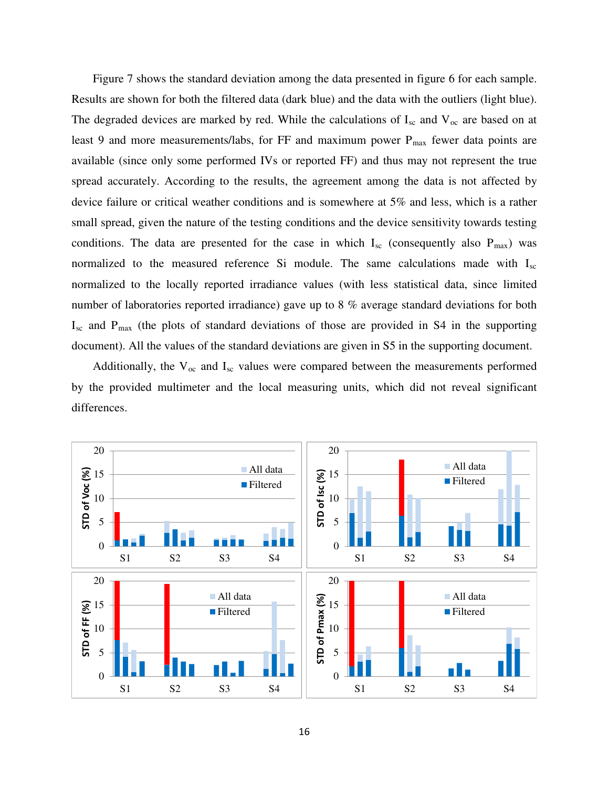Figure 7 shows the standard deviation among the data presented in figure 6 for each sample. Results are shown for both the filtered data (dark blue) and the data with the outliers (light blue). The degraded devices are marked by red. While the calculations of  $I_{\rm sc}$  and  $V_{\rm oc}$  are based on at least 9 and more measurements/labs, for FF and maximum power  $P_{max}$  fewer data points are available (since only some performed IVs or reported FF) and thus may not represent the true spread accurately. According to the results, the agreement among the data is not affected by device failure or critical weather conditions and is somewhere at 5% and less, which is a rather small spread, given the nature of the testing conditions and the device sensitivity towards testing conditions. The data are presented for the case in which  $I_{\rm sc}$  (consequently also  $P_{\rm max}$ ) was normalized to the measured reference Si module. The same calculations made with  $I_{\rm sc}$ normalized to the locally reported irradiance values (with less statistical data, since limited number of laboratories reported irradiance) gave up to 8 % average standard deviations for both  $I_{\rm sc}$  and  $P_{\rm max}$  (the plots of standard deviations of those are provided in S4 in the supporting document). All the values of the standard deviations are given in S5 in the supporting document.

Additionally, the  $V_{oc}$  and  $I_{sc}$  values were compared between the measurements performed by the provided multimeter and the local measuring units, which did not reveal significant differences.

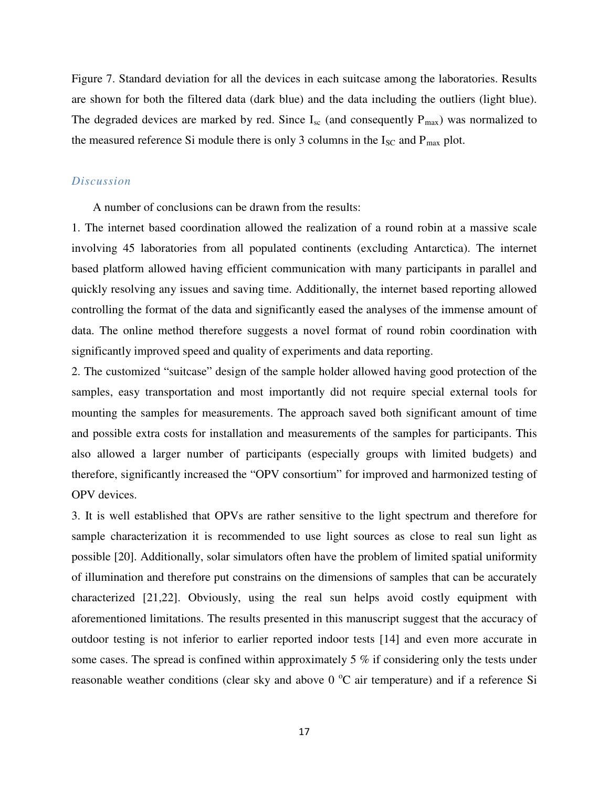Figure 7. Standard deviation for all the devices in each suitcase among the laboratories. Results are shown for both the filtered data (dark blue) and the data including the outliers (light blue). The degraded devices are marked by red. Since  $I_{\rm sc}$  (and consequently  $P_{\rm max}$ ) was normalized to the measured reference Si module there is only 3 columns in the  $I_{SC}$  and  $P_{max}$  plot.

#### *Discussion*

A number of conclusions can be drawn from the results:

1. The internet based coordination allowed the realization of a round robin at a massive scale involving 45 laboratories from all populated continents (excluding Antarctica). The internet based platform allowed having efficient communication with many participants in parallel and quickly resolving any issues and saving time. Additionally, the internet based reporting allowed controlling the format of the data and significantly eased the analyses of the immense amount of data. The online method therefore suggests a novel format of round robin coordination with significantly improved speed and quality of experiments and data reporting.

2. The customized "suitcase" design of the sample holder allowed having good protection of the samples, easy transportation and most importantly did not require special external tools for mounting the samples for measurements. The approach saved both significant amount of time and possible extra costs for installation and measurements of the samples for participants. This also allowed a larger number of participants (especially groups with limited budgets) and therefore, significantly increased the "OPV consortium" for improved and harmonized testing of OPV devices.

3. It is well established that OPVs are rather sensitive to the light spectrum and therefore for sample characterization it is recommended to use light sources as close to real sun light as possible [20]. Additionally, solar simulators often have the problem of limited spatial uniformity of illumination and therefore put constrains on the dimensions of samples that can be accurately characterized [21,22]. Obviously, using the real sun helps avoid costly equipment with aforementioned limitations. The results presented in this manuscript suggest that the accuracy of outdoor testing is not inferior to earlier reported indoor tests [14] and even more accurate in some cases. The spread is confined within approximately 5 % if considering only the tests under reasonable weather conditions (clear sky and above  $0^{\circ}$ C air temperature) and if a reference Si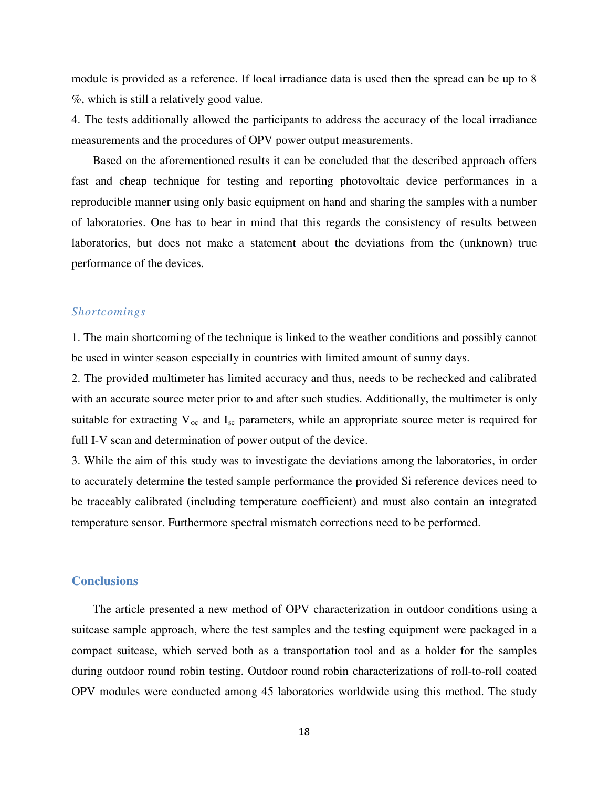module is provided as a reference. If local irradiance data is used then the spread can be up to 8 %, which is still a relatively good value.

4. The tests additionally allowed the participants to address the accuracy of the local irradiance measurements and the procedures of OPV power output measurements.

Based on the aforementioned results it can be concluded that the described approach offers fast and cheap technique for testing and reporting photovoltaic device performances in a reproducible manner using only basic equipment on hand and sharing the samples with a number of laboratories. One has to bear in mind that this regards the consistency of results between laboratories, but does not make a statement about the deviations from the (unknown) true performance of the devices.

#### *Shortcomings*

1. The main shortcoming of the technique is linked to the weather conditions and possibly cannot be used in winter season especially in countries with limited amount of sunny days.

2. The provided multimeter has limited accuracy and thus, needs to be rechecked and calibrated with an accurate source meter prior to and after such studies. Additionally, the multimeter is only suitable for extracting  $V_{\text{oc}}$  and  $I_{\text{sc}}$  parameters, while an appropriate source meter is required for full I-V scan and determination of power output of the device.

3. While the aim of this study was to investigate the deviations among the laboratories, in order to accurately determine the tested sample performance the provided Si reference devices need to be traceably calibrated (including temperature coefficient) and must also contain an integrated temperature sensor. Furthermore spectral mismatch corrections need to be performed.

### **Conclusions**

The article presented a new method of OPV characterization in outdoor conditions using a suitcase sample approach, where the test samples and the testing equipment were packaged in a compact suitcase, which served both as a transportation tool and as a holder for the samples during outdoor round robin testing. Outdoor round robin characterizations of roll-to-roll coated OPV modules were conducted among 45 laboratories worldwide using this method. The study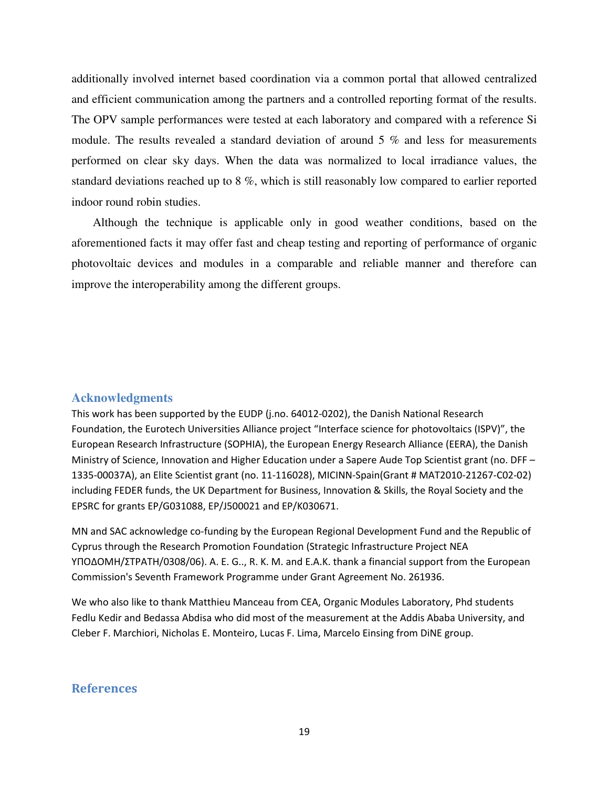additionally involved internet based coordination via a common portal that allowed centralized and efficient communication among the partners and a controlled reporting format of the results. The OPV sample performances were tested at each laboratory and compared with a reference Si module. The results revealed a standard deviation of around 5 % and less for measurements performed on clear sky days. When the data was normalized to local irradiance values, the standard deviations reached up to 8 %, which is still reasonably low compared to earlier reported indoor round robin studies.

Although the technique is applicable only in good weather conditions, based on the aforementioned facts it may offer fast and cheap testing and reporting of performance of organic photovoltaic devices and modules in a comparable and reliable manner and therefore can improve the interoperability among the different groups.

#### **Acknowledgments**

This work has been supported by the EUDP (j.no. 64012-0202), the Danish National Research Foundation, the Eurotech Universities Alliance project "Interface science for photovoltaics (ISPV)", the European Research Infrastructure (SOPHIA), the European Energy Research Alliance (EERA), the Danish Ministry of Science, Innovation and Higher Education under a Sapere Aude Top Scientist grant (no. DFF – 1335-00037A), an Elite Scientist grant (no. 11-116028), MICINN-Spain(Grant # MAT2010-21267-C02-02) including FEDER funds, the UK Department for Business, Innovation & Skills, the Royal Society and the EPSRC for grants EP/G031088, EP/J500021 and EP/K030671.

MN and SAC acknowledge co-funding by the European Regional Development Fund and the Republic of Cyprus through the Research Promotion Foundation (Strategic Infrastructure Project ΝΕΑ ΥΠΟΔΟΜΗ/ΣΤΡΑΤΗ/0308/06). A. E. G.., R. K. M. and E.A.K. thank a financial support from the European Commission's Seventh Framework Programme under Grant Agreement No. 261936.

We who also like to thank Matthieu Manceau from CEA, Organic Modules Laboratory, Phd students Fedlu Kedir and Bedassa Abdisa who did most of the measurement at the Addis Ababa University, and Cleber F. Marchiori, Nicholas E. Monteiro, Lucas F. Lima, Marcelo Einsing from DiNE group.

#### **References**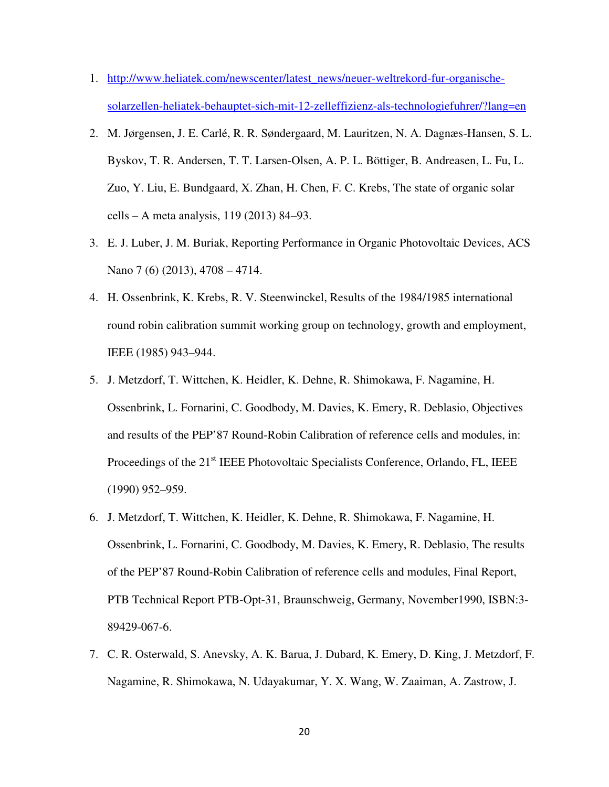- 1. http://www.heliatek.com/newscenter/latest\_news/neuer-weltrekord-fur-organischesolarzellen-heliatek-behauptet-sich-mit-12-zelleffizienz-als-technologiefuhrer/?lang=en
- 2. M. Jørgensen, J. E. Carlé, R. R. Søndergaard, M. Lauritzen, N. A. Dagnæs-Hansen, S. L. Byskov, T. R. Andersen, T. T. Larsen-Olsen, A. P. L. Böttiger, B. Andreasen, L. Fu, L. Zuo, Y. Liu, E. Bundgaard, X. Zhan, H. Chen, F. C. Krebs, The state of organic solar cells – A meta analysis, 119 (2013) 84–93.
- 3. E. J. Luber, J. M. Buriak, Reporting Performance in Organic Photovoltaic Devices, ACS Nano 7 (6) (2013), 4708 – 4714.
- 4. H. Ossenbrink, K. Krebs, R. V. Steenwinckel, Results of the 1984/1985 international round robin calibration summit working group on technology, growth and employment, IEEE (1985) 943–944.
- 5. J. Metzdorf, T. Wittchen, K. Heidler, K. Dehne, R. Shimokawa, F. Nagamine, H. Ossenbrink, L. Fornarini, C. Goodbody, M. Davies, K. Emery, R. Deblasio, Objectives and results of the PEP'87 Round-Robin Calibration of reference cells and modules, in: Proceedings of the 21<sup>st</sup> IEEE Photovoltaic Specialists Conference, Orlando, FL, IEEE (1990) 952–959.
- 6. J. Metzdorf, T. Wittchen, K. Heidler, K. Dehne, R. Shimokawa, F. Nagamine, H. Ossenbrink, L. Fornarini, C. Goodbody, M. Davies, K. Emery, R. Deblasio, The results of the PEP'87 Round-Robin Calibration of reference cells and modules, Final Report, PTB Technical Report PTB-Opt-31, Braunschweig, Germany, November1990, ISBN:3- 89429-067-6.
- 7. C. R. Osterwald, S. Anevsky, A. K. Barua, J. Dubard, K. Emery, D. King, J. Metzdorf, F. Nagamine, R. Shimokawa, N. Udayakumar, Y. X. Wang, W. Zaaiman, A. Zastrow, J.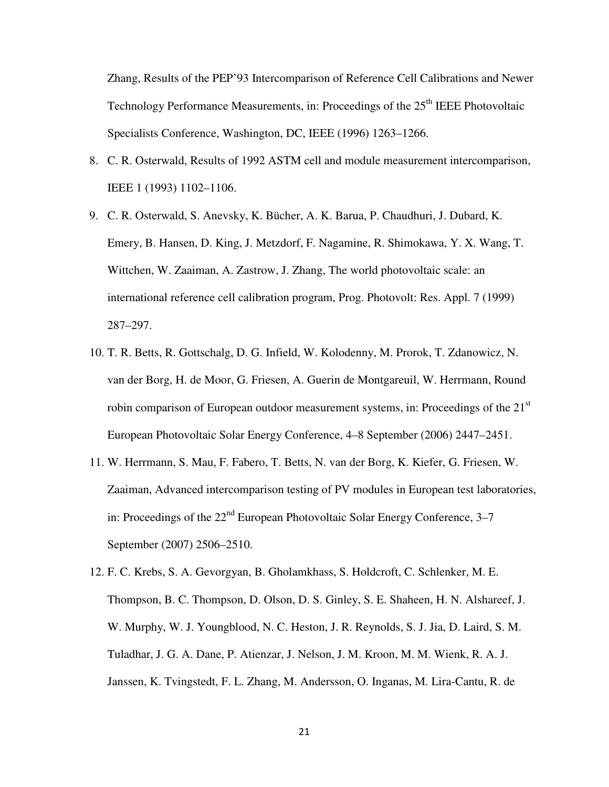Zhang, Results of the PEP'93 Intercomparison of Reference Cell Calibrations and Newer Technology Performance Measurements, in: Proceedings of the 25<sup>th</sup> IEEE Photovoltaic Specialists Conference, Washington, DC, IEEE (1996) 1263–1266.

- 8. C. R. Osterwald, Results of 1992 ASTM cell and module measurement intercomparison, IEEE 1 (1993) 1102–1106.
- 9. C. R. Osterwald, S. Anevsky, K. Bücher, A. K. Barua, P. Chaudhuri, J. Dubard, K. Emery, B. Hansen, D. King, J. Metzdorf, F. Nagamine, R. Shimokawa, Y. X. Wang, T. Wittchen, W. Zaaiman, A. Zastrow, J. Zhang, The world photovoltaic scale: an international reference cell calibration program, Prog. Photovolt: Res. Appl. 7 (1999) 287–297.
- 10. T. R. Betts, R. Gottschalg, D. G. Infield, W. Kolodenny, M. Prorok, T. Zdanowicz, N. van der Borg, H. de Moor, G. Friesen, A. Guerin de Montgareuil, W. Herrmann, Round robin comparison of European outdoor measurement systems, in: Proceedings of the 21<sup>st</sup> European Photovoltaic Solar Energy Conference, 4–8 September (2006) 2447–2451.
- 11. W. Herrmann, S. Mau, F. Fabero, T. Betts, N. van der Borg, K. Kiefer, G. Friesen, W. Zaaiman, Advanced intercomparison testing of PV modules in European test laboratories, in: Proceedings of the  $22<sup>nd</sup>$  European Photovoltaic Solar Energy Conference, 3–7 September (2007) 2506–2510.
- 12. F. C. Krebs, S. A. Gevorgyan, B. Gholamkhass, S. Holdcroft, C. Schlenker, M. E. Thompson, B. C. Thompson, D. Olson, D. S. Ginley, S. E. Shaheen, H. N. Alshareef, J. W. Murphy, W. J. Youngblood, N. C. Heston, J. R. Reynolds, S. J. Jia, D. Laird, S. M. Tuladhar, J. G. A. Dane, P. Atienzar, J. Nelson, J. M. Kroon, M. M. Wienk, R. A. J. Janssen, K. Tvingstedt, F. L. Zhang, M. Andersson, O. Inganas, M. Lira-Cantu, R. de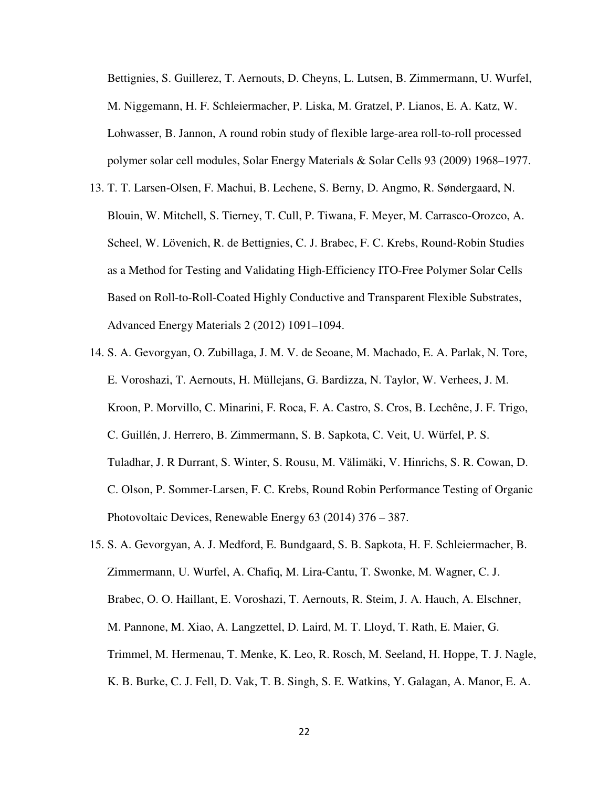Bettignies, S. Guillerez, T. Aernouts, D. Cheyns, L. Lutsen, B. Zimmermann, U. Wurfel, M. Niggemann, H. F. Schleiermacher, P. Liska, M. Gratzel, P. Lianos, E. A. Katz, W. Lohwasser, B. Jannon, A round robin study of flexible large-area roll-to-roll processed polymer solar cell modules, Solar Energy Materials & Solar Cells 93 (2009) 1968–1977.

- 13. T. T. Larsen-Olsen, F. Machui, B. Lechene, S. Berny, D. Angmo, R. Søndergaard, N. Blouin, W. Mitchell, S. Tierney, T. Cull, P. Tiwana, F. Meyer, M. Carrasco-Orozco, A. Scheel, W. Lövenich, R. de Bettignies, C. J. Brabec, F. C. Krebs, Round-Robin Studies as a Method for Testing and Validating High-Efficiency ITO-Free Polymer Solar Cells Based on Roll-to-Roll-Coated Highly Conductive and Transparent Flexible Substrates, Advanced Energy Materials 2 (2012) 1091–1094.
- 14. S. A. Gevorgyan, O. Zubillaga, J. M. V. de Seoane, M. Machado, E. A. Parlak, N. Tore, E. Voroshazi, T. Aernouts, H. Müllejans, G. Bardizza, N. Taylor, W. Verhees, J. M. Kroon, P. Morvillo, C. Minarini, F. Roca, F. A. Castro, S. Cros, B. Lechêne, J. F. Trigo, C. Guillén, J. Herrero, B. Zimmermann, S. B. Sapkota, C. Veit, U. Würfel, P. S. Tuladhar, J. R Durrant, S. Winter, S. Rousu, M. Välimäki, V. Hinrichs, S. R. Cowan, D. C. Olson, P. Sommer-Larsen, F. C. Krebs, Round Robin Performance Testing of Organic Photovoltaic Devices, Renewable Energy 63 (2014) 376 – 387.
- 15. S. A. Gevorgyan, A. J. Medford, E. Bundgaard, S. B. Sapkota, H. F. Schleiermacher, B. Zimmermann, U. Wurfel, A. Chafiq, M. Lira-Cantu, T. Swonke, M. Wagner, C. J. Brabec, O. O. Haillant, E. Voroshazi, T. Aernouts, R. Steim, J. A. Hauch, A. Elschner, M. Pannone, M. Xiao, A. Langzettel, D. Laird, M. T. Lloyd, T. Rath, E. Maier, G. Trimmel, M. Hermenau, T. Menke, K. Leo, R. Rosch, M. Seeland, H. Hoppe, T. J. Nagle, K. B. Burke, C. J. Fell, D. Vak, T. B. Singh, S. E. Watkins, Y. Galagan, A. Manor, E. A.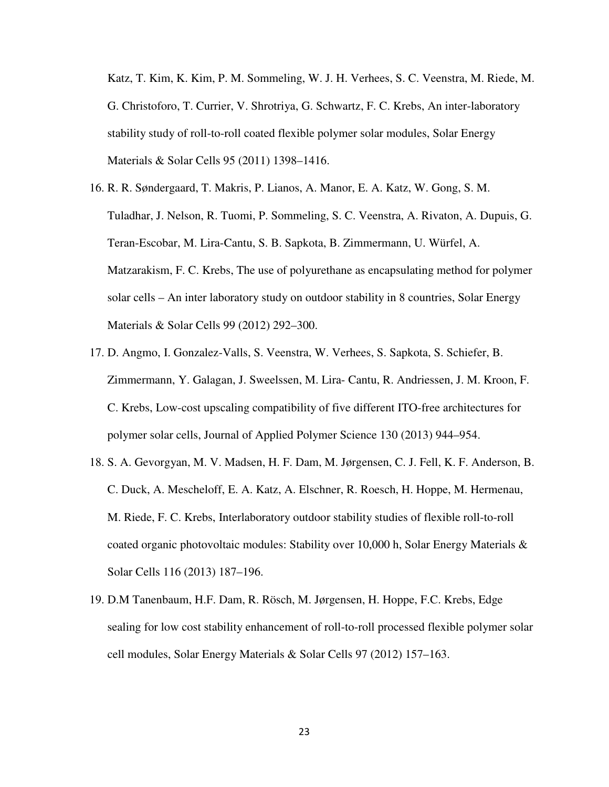Katz, T. Kim, K. Kim, P. M. Sommeling, W. J. H. Verhees, S. C. Veenstra, M. Riede, M. G. Christoforo, T. Currier, V. Shrotriya, G. Schwartz, F. C. Krebs, An inter-laboratory stability study of roll-to-roll coated flexible polymer solar modules, Solar Energy Materials & Solar Cells 95 (2011) 1398–1416.

- 16. R. R. Søndergaard, T. Makris, P. Lianos, A. Manor, E. A. Katz, W. Gong, S. M. Tuladhar, J. Nelson, R. Tuomi, P. Sommeling, S. C. Veenstra, A. Rivaton, A. Dupuis, G. Teran-Escobar, M. Lira-Cantu, S. B. Sapkota, B. Zimmermann, U. Würfel, A. Matzarakism, F. C. Krebs, The use of polyurethane as encapsulating method for polymer solar cells – An inter laboratory study on outdoor stability in 8 countries, Solar Energy Materials & Solar Cells 99 (2012) 292–300.
- 17. D. Angmo, I. Gonzalez-Valls, S. Veenstra, W. Verhees, S. Sapkota, S. Schiefer, B. Zimmermann, Y. Galagan, J. Sweelssen, M. Lira- Cantu, R. Andriessen, J. M. Kroon, F. C. Krebs, Low-cost upscaling compatibility of five different ITO-free architectures for polymer solar cells, Journal of Applied Polymer Science 130 (2013) 944–954.
- 18. S. A. Gevorgyan, M. V. Madsen, H. F. Dam, M. Jørgensen, C. J. Fell, K. F. Anderson, B. C. Duck, A. Mescheloff, E. A. Katz, A. Elschner, R. Roesch, H. Hoppe, M. Hermenau, M. Riede, F. C. Krebs, Interlaboratory outdoor stability studies of flexible roll-to-roll coated organic photovoltaic modules: Stability over 10,000 h, Solar Energy Materials & Solar Cells 116 (2013) 187–196.
- 19. D.M Tanenbaum, H.F. Dam, R. Rösch, M. Jørgensen, H. Hoppe, F.C. Krebs, Edge sealing for low cost stability enhancement of roll-to-roll processed flexible polymer solar cell modules, Solar Energy Materials & Solar Cells 97 (2012) 157–163.